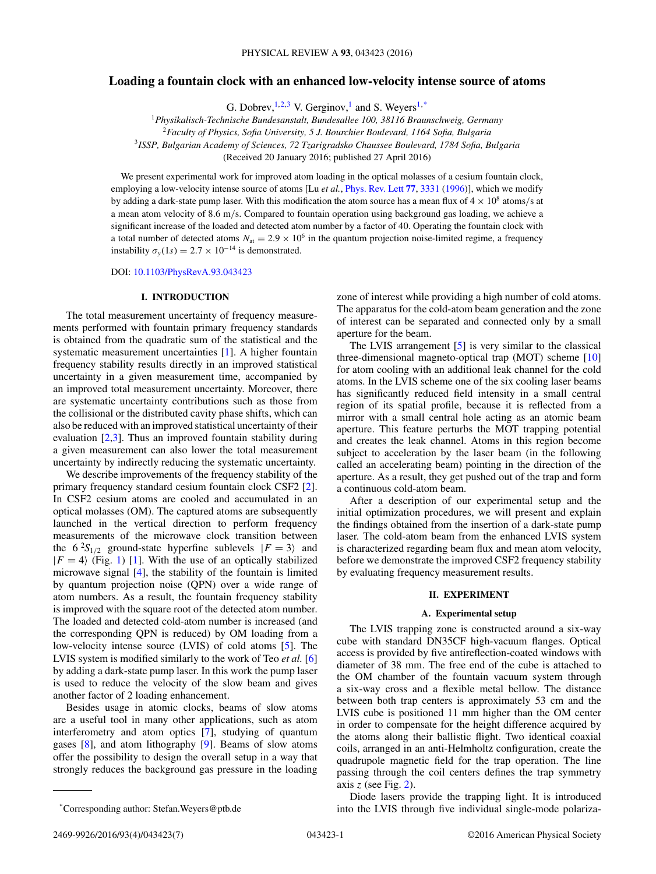# **Loading a fountain clock with an enhanced low-velocity intense source of atoms**

G. Dobrev,  $^{1,2,3}$  V. Gerginov,  $^{1}$  and S. Weyers<sup>1,\*</sup>

<sup>1</sup>*Physikalisch-Technische Bundesanstalt, Bundesallee 100, 38116 Braunschweig, Germany*

<sup>3</sup>*ISSP, Bulgarian Academy of Sciences, 72 Tzarigradsko Chaussee Boulevard, 1784 Sofia, Bulgaria*

(Received 20 January 2016; published 27 April 2016)

We present experimental work for improved atom loading in the optical molasses of a cesium fountain clock, employing a low-velocity intense source of atoms [Lu *et al.*, [Phys. Rev. Lett](http://dx.doi.org/10.1103/PhysRevLett.77.3331) **[77](http://dx.doi.org/10.1103/PhysRevLett.77.3331)**, [3331](http://dx.doi.org/10.1103/PhysRevLett.77.3331) [\(1996\)](http://dx.doi.org/10.1103/PhysRevLett.77.3331)], which we modify by adding a dark-state pump laser. With this modification the atom source has a mean flux of  $4 \times 10^8$  atoms/s at a mean atom velocity of 8*.*6 m*/*s. Compared to fountain operation using background gas loading, we achieve a significant increase of the loaded and detected atom number by a factor of 40. Operating the fountain clock with a total number of detected atoms  $N_{at} = 2.9 \times 10^6$  in the quantum projection noise-limited regime, a frequency instability  $\sigma_{\nu}(1s) = 2.7 \times 10^{-14}$  is demonstrated.

DOI: [10.1103/PhysRevA.93.043423](http://dx.doi.org/10.1103/PhysRevA.93.043423)

### **I. INTRODUCTION**

The total measurement uncertainty of frequency measurements performed with fountain primary frequency standards is obtained from the quadratic sum of the statistical and the systematic measurement uncertainties [\[1\]](#page-6-0). A higher fountain frequency stability results directly in an improved statistical uncertainty in a given measurement time, accompanied by an improved total measurement uncertainty. Moreover, there are systematic uncertainty contributions such as those from the collisional or the distributed cavity phase shifts, which can also be reduced with an improved statistical uncertainty of their evaluation [\[2,3\]](#page-6-0). Thus an improved fountain stability during a given measurement can also lower the total measurement uncertainty by indirectly reducing the systematic uncertainty.

We describe improvements of the frequency stability of the primary frequency standard cesium fountain clock CSF2 [\[2\]](#page-6-0). In CSF2 cesium atoms are cooled and accumulated in an optical molasses (OM). The captured atoms are subsequently launched in the vertical direction to perform frequency measurements of the microwave clock transition between the  $6^{2}S_{1/2}$  ground-state hyperfine sublevels  $|F = 3\rangle$  and  $|F = 4\rangle$  (Fig. [1\)](#page-1-0) [\[1\]](#page-6-0). With the use of an optically stabilized microwave signal [\[4\]](#page-6-0), the stability of the fountain is limited by quantum projection noise (QPN) over a wide range of atom numbers. As a result, the fountain frequency stability is improved with the square root of the detected atom number. The loaded and detected cold-atom number is increased (and the corresponding QPN is reduced) by OM loading from a low-velocity intense source (LVIS) of cold atoms [\[5\]](#page-6-0). The LVIS system is modified similarly to the work of Teo *et al.* [\[6\]](#page-6-0) by adding a dark-state pump laser. In this work the pump laser is used to reduce the velocity of the slow beam and gives another factor of 2 loading enhancement.

Besides usage in atomic clocks, beams of slow atoms are a useful tool in many other applications, such as atom interferometry and atom optics [\[7\]](#page-6-0), studying of quantum gases [\[8\]](#page-6-0), and atom lithography [\[9\]](#page-6-0). Beams of slow atoms offer the possibility to design the overall setup in a way that strongly reduces the background gas pressure in the loading

zone of interest while providing a high number of cold atoms. The apparatus for the cold-atom beam generation and the zone of interest can be separated and connected only by a small aperture for the beam.

The LVIS arrangement [\[5\]](#page-6-0) is very similar to the classical three-dimensional magneto-optical trap (MOT) scheme [\[10\]](#page-6-0) for atom cooling with an additional leak channel for the cold atoms. In the LVIS scheme one of the six cooling laser beams has significantly reduced field intensity in a small central region of its spatial profile, because it is reflected from a mirror with a small central hole acting as an atomic beam aperture. This feature perturbs the MOT trapping potential and creates the leak channel. Atoms in this region become subject to acceleration by the laser beam (in the following called an accelerating beam) pointing in the direction of the aperture. As a result, they get pushed out of the trap and form a continuous cold-atom beam.

After a description of our experimental setup and the initial optimization procedures, we will present and explain the findings obtained from the insertion of a dark-state pump laser. The cold-atom beam from the enhanced LVIS system is characterized regarding beam flux and mean atom velocity, before we demonstrate the improved CSF2 frequency stability by evaluating frequency measurement results.

### **II. EXPERIMENT**

#### **A. Experimental setup**

The LVIS trapping zone is constructed around a six-way cube with standard DN35CF high-vacuum flanges. Optical access is provided by five antireflection-coated windows with diameter of 38 mm. The free end of the cube is attached to the OM chamber of the fountain vacuum system through a six-way cross and a flexible metal bellow. The distance between both trap centers is approximately 53 cm and the LVIS cube is positioned 11 mm higher than the OM center in order to compensate for the height difference acquired by the atoms along their ballistic flight. Two identical coaxial coils, arranged in an anti-Helmholtz configuration, create the quadrupole magnetic field for the trap operation. The line passing through the coil centers defines the trap symmetry axis  $z$  (see Fig. [2\)](#page-1-0).

Diode lasers provide the trapping light. It is introduced into the LVIS through five individual single-mode polariza-

<sup>2</sup>*Faculty of Physics, Sofia University, 5 J. Bourchier Boulevard, 1164 Sofia, Bulgaria*

<sup>\*</sup>Corresponding author: Stefan.Weyers@ptb.de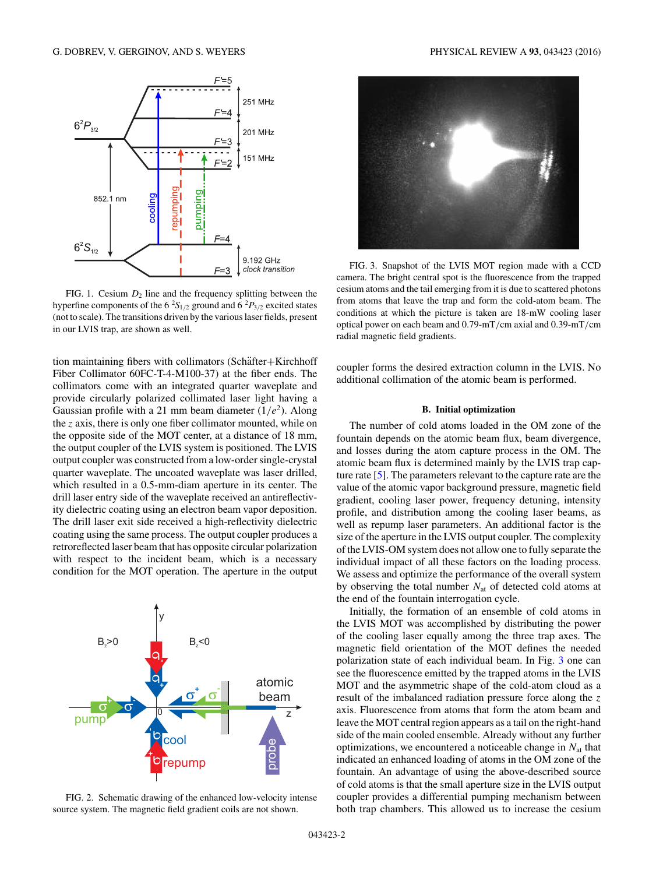<span id="page-1-0"></span>

FIG. 1. Cesium  $D_2$  line and the frequency splitting between the hyperfine components of the 6<sup>2</sup>S<sub>1/2</sub> ground and 6<sup>2</sup>P<sub>3/2</sub> excited states (not to scale). The transitions driven by the various laser fields, present in our LVIS trap, are shown as well.

tion maintaining fibers with collimators (Schäfter+Kirchhoff Fiber Collimator 60FC-T-4-M100-37) at the fiber ends. The collimators come with an integrated quarter waveplate and provide circularly polarized collimated laser light having a Gaussian profile with a 21 mm beam diameter  $(1/e^2)$ . Along the *z* axis, there is only one fiber collimator mounted, while on the opposite side of the MOT center, at a distance of 18 mm, the output coupler of the LVIS system is positioned. The LVIS output coupler was constructed from a low-order single-crystal quarter waveplate. The uncoated waveplate was laser drilled, which resulted in a 0.5-mm-diam aperture in its center. The drill laser entry side of the waveplate received an antireflectivity dielectric coating using an electron beam vapor deposition. The drill laser exit side received a high-reflectivity dielectric coating using the same process. The output coupler produces a retroreflected laser beam that has opposite circular polarization with respect to the incident beam, which is a necessary condition for the MOT operation. The aperture in the output



FIG. 2. Schematic drawing of the enhanced low-velocity intense source system. The magnetic field gradient coils are not shown.



FIG. 3. Snapshot of the LVIS MOT region made with a CCD camera. The bright central spot is the fluorescence from the trapped cesium atoms and the tail emerging from it is due to scattered photons from atoms that leave the trap and form the cold-atom beam. The conditions at which the picture is taken are 18-mW cooling laser optical power on each beam and 0.79-mT*/*cm axial and 0.39-mT*/*cm radial magnetic field gradients.

coupler forms the desired extraction column in the LVIS. No additional collimation of the atomic beam is performed.

#### **B. Initial optimization**

The number of cold atoms loaded in the OM zone of the fountain depends on the atomic beam flux, beam divergence, and losses during the atom capture process in the OM. The atomic beam flux is determined mainly by the LVIS trap capture rate [\[5\]](#page-6-0). The parameters relevant to the capture rate are the value of the atomic vapor background pressure, magnetic field gradient, cooling laser power, frequency detuning, intensity profile, and distribution among the cooling laser beams, as well as repump laser parameters. An additional factor is the size of the aperture in the LVIS output coupler. The complexity of the LVIS-OM system does not allow one to fully separate the individual impact of all these factors on the loading process. We assess and optimize the performance of the overall system by observing the total number *N*at of detected cold atoms at the end of the fountain interrogation cycle.

Initially, the formation of an ensemble of cold atoms in the LVIS MOT was accomplished by distributing the power of the cooling laser equally among the three trap axes. The magnetic field orientation of the MOT defines the needed polarization state of each individual beam. In Fig. 3 one can see the fluorescence emitted by the trapped atoms in the LVIS MOT and the asymmetric shape of the cold-atom cloud as a result of the imbalanced radiation pressure force along the *z* axis. Fluorescence from atoms that form the atom beam and leave the MOT central region appears as a tail on the right-hand side of the main cooled ensemble. Already without any further optimizations, we encountered a noticeable change in *N*at that indicated an enhanced loading of atoms in the OM zone of the fountain. An advantage of using the above-described source of cold atoms is that the small aperture size in the LVIS output coupler provides a differential pumping mechanism between both trap chambers. This allowed us to increase the cesium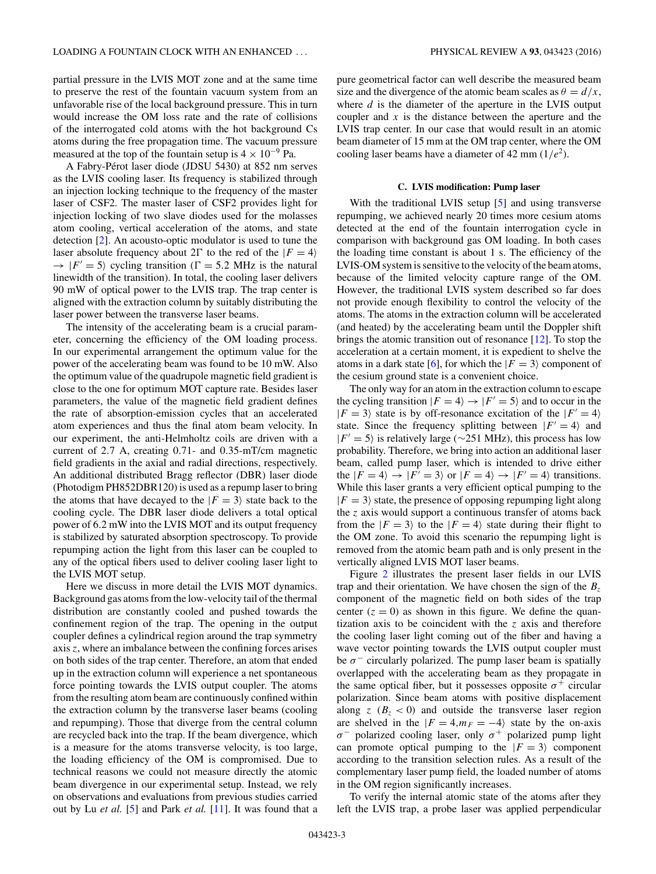partial pressure in the LVIS MOT zone and at the same time to preserve the rest of the fountain vacuum system from an unfavorable rise of the local background pressure. This in turn would increase the OM loss rate and the rate of collisions of the interrogated cold atoms with the hot background Cs atoms during the free propagation time. The vacuum pressure measured at the top of the fountain setup is  $4 \times 10^{-9}$  Pa.

A Fabry-Perot laser diode (JDSU 5430) at 852 nm serves ´ as the LVIS cooling laser. Its frequency is stabilized through an injection locking technique to the frequency of the master laser of CSF2. The master laser of CSF2 provides light for injection locking of two slave diodes used for the molasses atom cooling, vertical acceleration of the atoms, and state detection [\[2\]](#page-6-0). An acousto-optic modulator is used to tune the laser absolute frequency about  $2\Gamma$  to the red of the  $|F = 4\rangle$  $\rightarrow$   $|F' = 5\rangle$  cycling transition ( $\Gamma = 5.2$  MHz is the natural linewidth of the transition). In total, the cooling laser delivers 90 mW of optical power to the LVIS trap. The trap center is aligned with the extraction column by suitably distributing the laser power between the transverse laser beams.

The intensity of the accelerating beam is a crucial parameter, concerning the efficiency of the OM loading process. In our experimental arrangement the optimum value for the power of the accelerating beam was found to be 10 mW. Also the optimum value of the quadrupole magnetic field gradient is close to the one for optimum MOT capture rate. Besides laser parameters, the value of the magnetic field gradient defines the rate of absorption-emission cycles that an accelerated atom experiences and thus the final atom beam velocity. In our experiment, the anti-Helmholtz coils are driven with a current of 2*.*7 A, creating 0*.*71- and 0*.*35-mT/cm magnetic field gradients in the axial and radial directions, respectively. An additional distributed Bragg reflector (DBR) laser diode (Photodigm PH852DBR120) is used as a repump laser to bring the atoms that have decayed to the  $|F = 3\rangle$  state back to the cooling cycle. The DBR laser diode delivers a total optical power of 6*.*2 mW into the LVIS MOT and its output frequency is stabilized by saturated absorption spectroscopy. To provide repumping action the light from this laser can be coupled to any of the optical fibers used to deliver cooling laser light to the LVIS MOT setup.

Here we discuss in more detail the LVIS MOT dynamics. Background gas atoms from the low-velocity tail of the thermal distribution are constantly cooled and pushed towards the confinement region of the trap. The opening in the output coupler defines a cylindrical region around the trap symmetry axis *z*, where an imbalance between the confining forces arises on both sides of the trap center. Therefore, an atom that ended up in the extraction column will experience a net spontaneous force pointing towards the LVIS output coupler. The atoms from the resulting atom beam are continuously confined within the extraction column by the transverse laser beams (cooling and repumping). Those that diverge from the central column are recycled back into the trap. If the beam divergence, which is a measure for the atoms transverse velocity, is too large, the loading efficiency of the OM is compromised. Due to technical reasons we could not measure directly the atomic beam divergence in our experimental setup. Instead, we rely on observations and evaluations from previous studies carried out by Lu *et al.* [\[5\]](#page-6-0) and Park *et al.* [\[11\]](#page-6-0). It was found that a

pure geometrical factor can well describe the measured beam size and the divergence of the atomic beam scales as  $\theta = d/x$ , where *d* is the diameter of the aperture in the LVIS output coupler and *x* is the distance between the aperture and the LVIS trap center. In our case that would result in an atomic beam diameter of 15 mm at the OM trap center, where the OM cooling laser beams have a diameter of 42 mm  $(1/e^2)$ .

### **C. LVIS modification: Pump laser**

With the traditional LVIS setup [\[5\]](#page-6-0) and using transverse repumping, we achieved nearly 20 times more cesium atoms detected at the end of the fountain interrogation cycle in comparison with background gas OM loading. In both cases the loading time constant is about 1 s. The efficiency of the LVIS-OM system is sensitive to the velocity of the beam atoms, because of the limited velocity capture range of the OM. However, the traditional LVIS system described so far does not provide enough flexibility to control the velocity of the atoms. The atoms in the extraction column will be accelerated (and heated) by the accelerating beam until the Doppler shift brings the atomic transition out of resonance [\[12\]](#page-6-0). To stop the acceleration at a certain moment, it is expedient to shelve the atoms in a dark state [\[6\]](#page-6-0), for which the  $|F = 3\rangle$  component of the cesium ground state is a convenient choice.

The only way for an atom in the extraction column to escape the cycling transition  $|F = 4\rangle \rightarrow |F' = 5\rangle$  and to occur in the  $|F = 3\rangle$  state is by off-resonance excitation of the  $|F' = 4\rangle$ state. Since the frequency splitting between  $|F' = 4\rangle$  and  $|F' = 5\rangle$  is relatively large (∼251 MHz), this process has low probability. Therefore, we bring into action an additional laser beam, called pump laser, which is intended to drive either the  $|F = 4\rangle \rightarrow |F' = 3\rangle$  or  $|F = 4\rangle \rightarrow |F' = 4\rangle$  transitions. While this laser grants a very efficient optical pumping to the  $|F = 3\rangle$  state, the presence of opposing repumping light along the *z* axis would support a continuous transfer of atoms back from the  $|F = 3\rangle$  to the  $|F = 4\rangle$  state during their flight to the OM zone. To avoid this scenario the repumping light is removed from the atomic beam path and is only present in the vertically aligned LVIS MOT laser beams.

Figure [2](#page-1-0) illustrates the present laser fields in our LVIS trap and their orientation. We have chosen the sign of the  $B_z$ component of the magnetic field on both sides of the trap center  $(z = 0)$  as shown in this figure. We define the quantization axis to be coincident with the *z* axis and therefore the cooling laser light coming out of the fiber and having a wave vector pointing towards the LVIS output coupler must be  $\sigma^-$  circularly polarized. The pump laser beam is spatially overlapped with the accelerating beam as they propagate in the same optical fiber, but it possesses opposite  $\sigma^+$  circular polarization. Since beam atoms with positive displacement along  $z \ (B<sub>z</sub> < 0)$  and outside the transverse laser region are shelved in the  $|F = 4, m_F = -4\rangle$  state by the on-axis  $\sigma^-$  polarized cooling laser, only  $\sigma^+$  polarized pump light can promote optical pumping to the  $|F = 3\rangle$  component according to the transition selection rules. As a result of the complementary laser pump field, the loaded number of atoms in the OM region significantly increases.

To verify the internal atomic state of the atoms after they left the LVIS trap, a probe laser was applied perpendicular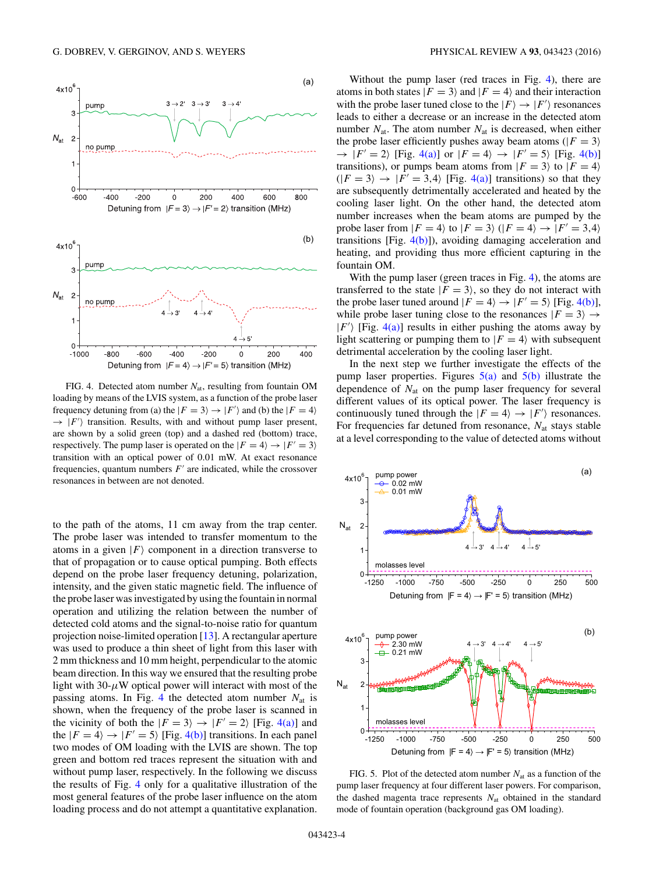<span id="page-3-0"></span>

FIG. 4. Detected atom number  $N_{at}$ , resulting from fountain OM loading by means of the LVIS system, as a function of the probe laser frequency detuning from (a) the  $|F = 3\rangle \rightarrow |F'\rangle$  and (b) the  $|F = 4\rangle$  $\rightarrow$   $|F' \rangle$  transition. Results, with and without pump laser present, are shown by a solid green (top) and a dashed red (bottom) trace, respectively. The pump laser is operated on the  $|F = 4\rangle \rightarrow |F' = 3\rangle$ transition with an optical power of 0*.*01 mW. At exact resonance frequencies, quantum numbers  $F'$  are indicated, while the crossover resonances in between are not denoted.

to the path of the atoms, 11 cm away from the trap center. The probe laser was intended to transfer momentum to the atoms in a given  $|F\rangle$  component in a direction transverse to that of propagation or to cause optical pumping. Both effects depend on the probe laser frequency detuning, polarization, intensity, and the given static magnetic field. The influence of the probe laser was investigated by using the fountain in normal operation and utilizing the relation between the number of detected cold atoms and the signal-to-noise ratio for quantum projection noise-limited operation [\[13\]](#page-6-0). A rectangular aperture was used to produce a thin sheet of light from this laser with 2 mm thickness and 10 mm height, perpendicular to the atomic beam direction. In this way we ensured that the resulting probe light with  $30-\mu$ W optical power will interact with most of the passing atoms. In Fig. 4 the detected atom number  $N_{at}$  is shown, when the frequency of the probe laser is scanned in the vicinity of both the  $|F = 3\rangle \rightarrow |F' = 2\rangle$  [Fig. 4(a)] and the  $|F = 4\rangle \rightarrow |F' = 5\rangle$  [Fig. 4(b)] transitions. In each panel two modes of OM loading with the LVIS are shown. The top green and bottom red traces represent the situation with and without pump laser, respectively. In the following we discuss the results of Fig. 4 only for a qualitative illustration of the most general features of the probe laser influence on the atom loading process and do not attempt a quantitative explanation.

Without the pump laser (red traces in Fig. 4), there are atoms in both states  $|F = 3\rangle$  and  $|F = 4\rangle$  and their interaction with the probe laser tuned close to the  $|F\rangle \rightarrow |F'\rangle$  resonances leads to either a decrease or an increase in the detected atom number  $N_{at}$ . The atom number  $N_{at}$  is decreased, when either the probe laser efficiently pushes away beam atoms ( $|F = 3\rangle$ )  $\rightarrow$   $|F' = 2\rangle$  [Fig. 4(a)] or  $|F = 4\rangle \rightarrow |F' = 5\rangle$  [Fig. 4(b)] transitions), or pumps beam atoms from  $|F = 3\rangle$  to  $|F = 4\rangle$  $(|F = 3\rangle \rightarrow |F' = 3, 4\rangle$  [Fig. 4(a)] transitions) so that they are subsequently detrimentally accelerated and heated by the cooling laser light. On the other hand, the detected atom number increases when the beam atoms are pumped by the probe laser from  $|F = 4\rangle$  to  $|F = 3\rangle$   $(|F = 4\rangle \rightarrow |F' = 3,4\rangle$ transitions [Fig.  $4(b)$ ]), avoiding damaging acceleration and heating, and providing thus more efficient capturing in the fountain OM.

With the pump laser (green traces in Fig. 4), the atoms are transferred to the state  $|F = 3\rangle$ , so they do not interact with the probe laser tuned around  $|F = 4\rangle \rightarrow |F' = 5\rangle$  [Fig. 4(b)], while probe laser tuning close to the resonances  $|F = 3\rangle \rightarrow$  $|F'\rangle$  [Fig. 4(a)] results in either pushing the atoms away by light scattering or pumping them to  $|F = 4\rangle$  with subsequent detrimental acceleration by the cooling laser light.

In the next step we further investigate the effects of the pump laser properties. Figures  $5(a)$  and  $5(b)$  illustrate the dependence of *N*at on the pump laser frequency for several different values of its optical power. The laser frequency is continuously tuned through the  $|F = 4\rangle \rightarrow |F'\rangle$  resonances. For frequencies far detuned from resonance,  $N_{at}$  stays stable at a level corresponding to the value of detected atoms without



FIG. 5. Plot of the detected atom number  $N_{at}$  as a function of the pump laser frequency at four different laser powers. For comparison, the dashed magenta trace represents  $N_{at}$  obtained in the standard mode of fountain operation (background gas OM loading).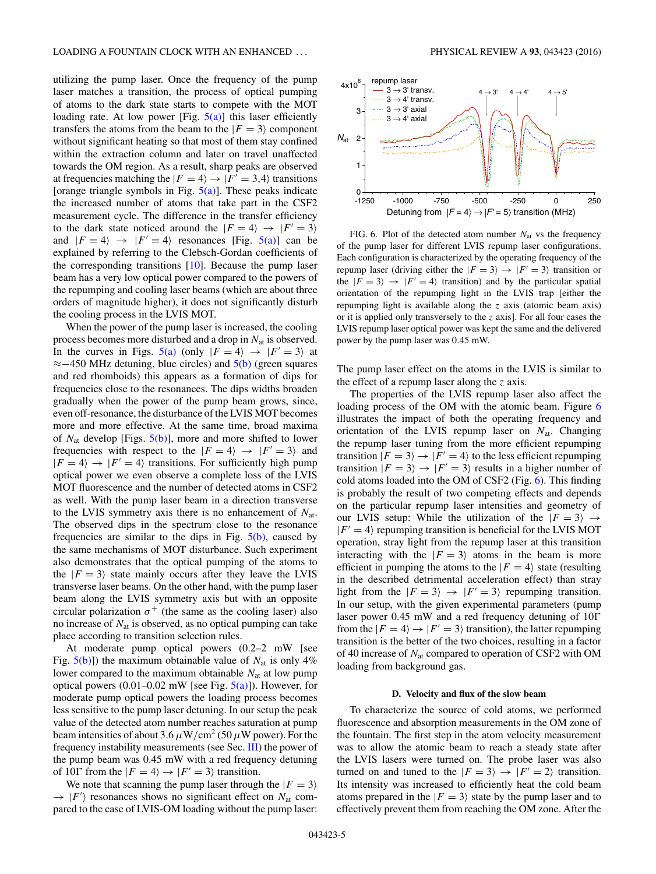utilizing the pump laser. Once the frequency of the pump laser matches a transition, the process of optical pumping of atoms to the dark state starts to compete with the MOT loading rate. At low power [Fig.  $5(a)$ ] this laser efficiently transfers the atoms from the beam to the  $|F = 3\rangle$  component without significant heating so that most of them stay confined within the extraction column and later on travel unaffected towards the OM region. As a result, sharp peaks are observed at frequencies matching the  $|F = 4\rangle \rightarrow |F' = 3, 4\rangle$  transitions [orange triangle symbols in Fig.  $5(a)$ ]. These peaks indicate the increased number of atoms that take part in the CSF2 measurement cycle. The difference in the transfer efficiency to the dark state noticed around the  $|F = 4\rangle \rightarrow |F' = 3\rangle$ and  $|F = 4\rangle \rightarrow |F' = 4\rangle$  resonances [Fig. [5\(a\)\]](#page-3-0) can be explained by referring to the Clebsch-Gordan coefficients of the corresponding transitions [\[10\]](#page-6-0). Because the pump laser beam has a very low optical power compared to the powers of the repumping and cooling laser beams (which are about three orders of magnitude higher), it does not significantly disturb the cooling process in the LVIS MOT.

When the power of the pump laser is increased, the cooling process becomes more disturbed and a drop in *N*at is observed. In the curves in Figs.  $5(a)$  (only  $|F = 4\rangle \rightarrow |F' = 3\rangle$  at ≈−450 MHz detuning, blue circles) and [5\(b\)](#page-3-0) (green squares and red rhomboids) this appears as a formation of dips for frequencies close to the resonances. The dips widths broaden gradually when the power of the pump beam grows, since, even off-resonance, the disturbance of the LVIS MOT becomes more and more effective. At the same time, broad maxima of *N*at develop [Figs. [5\(b\)\]](#page-3-0), more and more shifted to lower frequencies with respect to the  $|F = 4\rangle \rightarrow |F' = 3\rangle$  and  $|F = 4\rangle \rightarrow |F' = 4\rangle$  transitions. For sufficiently high pump optical power we even observe a complete loss of the LVIS MOT fluorescence and the number of detected atoms in CSF2 as well. With the pump laser beam in a direction transverse to the LVIS symmetry axis there is no enhancement of  $N_{at}$ . The observed dips in the spectrum close to the resonance frequencies are similar to the dips in Fig.  $5(b)$ , caused by the same mechanisms of MOT disturbance. Such experiment also demonstrates that the optical pumping of the atoms to the  $|F = 3\rangle$  state mainly occurs after they leave the LVIS transverse laser beams. On the other hand, with the pump laser beam along the LVIS symmetry axis but with an opposite circular polarization  $\sigma^+$  (the same as the cooling laser) also no increase of *N*at is observed, as no optical pumping can take place according to transition selection rules.

At moderate pump optical powers (0.2–2 mW [see Fig.  $5(b)$ ]) the maximum obtainable value of  $N_{at}$  is only 4% lower compared to the maximum obtainable  $N_{at}$  at low pump optical powers  $(0.01-0.02 \text{ mW}$  [see Fig.  $5(a)$ ]). However, for moderate pump optical powers the loading process becomes less sensitive to the pump laser detuning. In our setup the peak value of the detected atom number reaches saturation at pump beam intensities of about 3.6  $\mu$ W/cm<sup>2</sup> (50  $\mu$ W power). For the frequency instability measurements (see Sec. [III\)](#page-5-0) the power of the pump beam was 0.45 mW with a red frequency detuning of 10 $\Gamma$  from the  $|F = 4\rangle \rightarrow |F' = 3\rangle$  transition.

We note that scanning the pump laser through the  $|F = 3\rangle$  $\rightarrow$   $|F' \rangle$  resonances shows no significant effect on  $N_{\text{at}}$  compared to the case of LVIS-OM loading without the pump laser:



FIG. 6. Plot of the detected atom number  $N_{at}$  vs the frequency of the pump laser for different LVIS repump laser configurations. Each configuration is characterized by the operating frequency of the repump laser (driving either the  $|F = 3\rangle \rightarrow |F' = 3\rangle$  transition or the  $|F = 3\rangle \rightarrow |F' = 4\rangle$  transition) and by the particular spatial orientation of the repumping light in the LVIS trap [either the repumping light is available along the *z* axis (atomic beam axis) or it is applied only transversely to the *z* axis]. For all four cases the LVIS repump laser optical power was kept the same and the delivered power by the pump laser was 0*.*45 mW.

The pump laser effect on the atoms in the LVIS is similar to the effect of a repump laser along the *z* axis.

The properties of the LVIS repump laser also affect the loading process of the OM with the atomic beam. Figure 6 illustrates the impact of both the operating frequency and orientation of the LVIS repump laser on *N*at. Changing the repump laser tuning from the more efficient repumping transition  $|F = 3\rangle \rightarrow |F' = 4\rangle$  to the less efficient repumping transition  $|F = 3\rangle \rightarrow |F' = 3\rangle$  results in a higher number of cold atoms loaded into the OM of CSF2 (Fig. 6). This finding is probably the result of two competing effects and depends on the particular repump laser intensities and geometry of our LVIS setup: While the utilization of the  $|F = 3\rangle \rightarrow$  $|F' = 4\rangle$  repumping transition is beneficial for the LVIS MOT operation, stray light from the repump laser at this transition interacting with the  $|F = 3\rangle$  atoms in the beam is more efficient in pumping the atoms to the  $|F = 4\rangle$  state (resulting in the described detrimental acceleration effect) than stray light from the  $|F = 3\rangle \rightarrow |F' = 3\rangle$  repumping transition. In our setup, with the given experimental parameters (pump laser power 0.45 mW and a red frequency detuning of 10 $\Gamma$ from the  $|F = 4\rangle \rightarrow |F' = 3\rangle$  transition), the latter repumping transition is the better of the two choices, resulting in a factor of 40 increase of *N*at compared to operation of CSF2 with OM loading from background gas.

#### **D. Velocity and flux of the slow beam**

To characterize the source of cold atoms, we performed fluorescence and absorption measurements in the OM zone of the fountain. The first step in the atom velocity measurement was to allow the atomic beam to reach a steady state after the LVIS lasers were turned on. The probe laser was also turned on and tuned to the  $|F = 3\rangle \rightarrow |F' = 2\rangle$  transition. Its intensity was increased to efficiently heat the cold beam atoms prepared in the  $|F = 3\rangle$  state by the pump laser and to effectively prevent them from reaching the OM zone. After the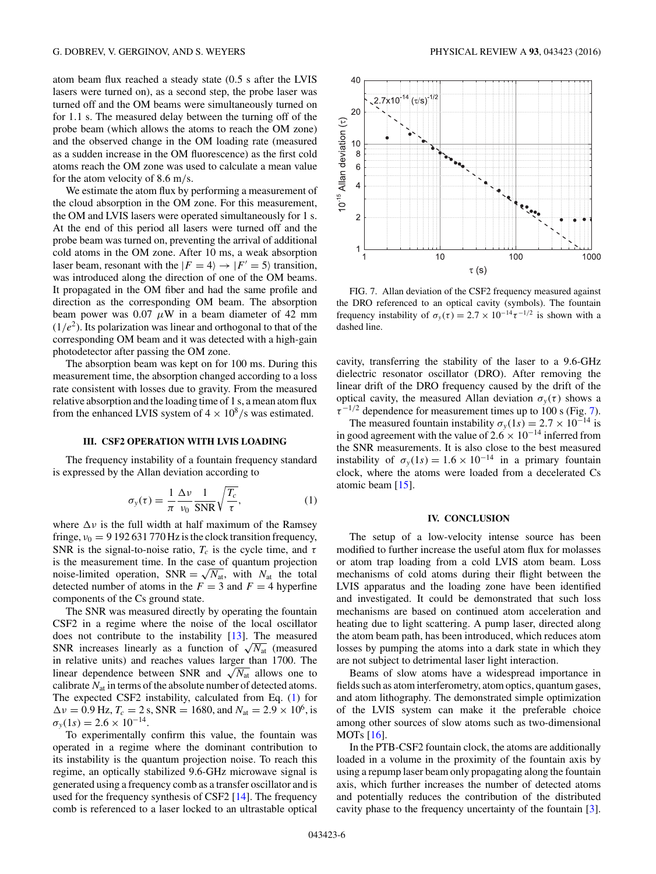<span id="page-5-0"></span>atom beam flux reached a steady state (0*.*5 s after the LVIS lasers were turned on), as a second step, the probe laser was turned off and the OM beams were simultaneously turned on for 1*.*1 s. The measured delay between the turning off of the probe beam (which allows the atoms to reach the OM zone) and the observed change in the OM loading rate (measured as a sudden increase in the OM fluorescence) as the first cold atoms reach the OM zone was used to calculate a mean value for the atom velocity of 8*.*6 m*/*s.

We estimate the atom flux by performing a measurement of the cloud absorption in the OM zone. For this measurement, the OM and LVIS lasers were operated simultaneously for 1 s. At the end of this period all lasers were turned off and the probe beam was turned on, preventing the arrival of additional cold atoms in the OM zone. After 10 ms, a weak absorption laser beam, resonant with the  $|F = 4\rangle \rightarrow |F' = 5\rangle$  transition, was introduced along the direction of one of the OM beams. It propagated in the OM fiber and had the same profile and direction as the corresponding OM beam. The absorption beam power was  $0.07 \mu W$  in a beam diameter of 42 mm  $(1/e<sup>2</sup>)$ . Its polarization was linear and orthogonal to that of the corresponding OM beam and it was detected with a high-gain photodetector after passing the OM zone.

The absorption beam was kept on for 100 ms. During this measurement time, the absorption changed according to a loss rate consistent with losses due to gravity. From the measured relative absorption and the loading time of 1 s, a mean atom flux from the enhanced LVIS system of  $4 \times 10^8$ /s was estimated.

## **III. CSF2 OPERATION WITH LVIS LOADING**

The frequency instability of a fountain frequency standard is expressed by the Allan deviation according to

$$
\sigma_{y}(\tau) = \frac{1}{\pi} \frac{\Delta \nu}{\nu_{0}} \frac{1}{\text{SNR}} \sqrt{\frac{T_{c}}{\tau}},
$$
\n(1)

where  $\Delta v$  is the full width at half maximum of the Ramsey fringe,  $v_0 = 9192631770$  Hz is the clock transition frequency, SNR is the signal-to-noise ratio,  $T_c$  is the cycle time, and  $\tau$ is the measurement time. In the case of quantum projection noise-limited operation,  $SNR = \sqrt{N_{at}}$ , with  $N_{at}$  the total detected number of atoms in the  $F = 3$  and  $F = 4$  hyperfine components of the Cs ground state.

The SNR was measured directly by operating the fountain CSF2 in a regime where the noise of the local oscillator does not contribute to the instability [\[13\]](#page-6-0). The measured SNR increases linearly as a function of  $\sqrt{N_{at}}$  (measured in relative units) and reaches values larger than 1700. The linear dependence between SNR and  $\sqrt{N_{at}}$  allows one to calibrate *N*at in terms of the absolute number of detected atoms. The expected CSF2 instability, calculated from Eq. (1) for  $\Delta v = 0.9$  Hz,  $T_c = 2$  s, SNR = 1680, and  $N_{at} = 2.9 \times 10^6$ , is  $\sigma_{\rm v}(1s) = 2.6 \times 10^{-14}$ .

To experimentally confirm this value, the fountain was operated in a regime where the dominant contribution to its instability is the quantum projection noise. To reach this regime, an optically stabilized 9.6-GHz microwave signal is generated using a frequency comb as a transfer oscillator and is used for the frequency synthesis of CSF2 [\[14\]](#page-6-0). The frequency comb is referenced to a laser locked to an ultrastable optical



FIG. 7. Allan deviation of the CSF2 frequency measured against the DRO referenced to an optical cavity (symbols). The fountain frequency instability of  $\sigma_y(\tau) = 2.7 \times 10^{-14} \tau^{-1/2}$  is shown with a dashed line.

cavity, transferring the stability of the laser to a 9.6-GHz dielectric resonator oscillator (DRO). After removing the linear drift of the DRO frequency caused by the drift of the optical cavity, the measured Allan deviation  $\sigma_{\nu}(\tau)$  shows a  $\tau^{-1/2}$  dependence for measurement times up to 100 s (Fig. 7).

The measured fountain instability  $\sigma_y(1s) = 2.7 \times 10^{-14}$  is in good agreement with the value of 2*.*<sup>6</sup> <sup>×</sup> <sup>10</sup>−<sup>14</sup> inferred from the SNR measurements. It is also close to the best measured instability of  $\sigma_y(1s) = 1.6 \times 10^{-14}$  in a primary fountain clock, where the atoms were loaded from a decelerated Cs atomic beam [\[15\]](#page-6-0).

#### **IV. CONCLUSION**

The setup of a low-velocity intense source has been modified to further increase the useful atom flux for molasses or atom trap loading from a cold LVIS atom beam. Loss mechanisms of cold atoms during their flight between the LVIS apparatus and the loading zone have been identified and investigated. It could be demonstrated that such loss mechanisms are based on continued atom acceleration and heating due to light scattering. A pump laser, directed along the atom beam path, has been introduced, which reduces atom losses by pumping the atoms into a dark state in which they are not subject to detrimental laser light interaction.

Beams of slow atoms have a widespread importance in fields such as atom interferometry, atom optics, quantum gases, and atom lithography. The demonstrated simple optimization of the LVIS system can make it the preferable choice among other sources of slow atoms such as two-dimensional MOTs [\[16\]](#page-6-0).

In the PTB-CSF2 fountain clock, the atoms are additionally loaded in a volume in the proximity of the fountain axis by using a repump laser beam only propagating along the fountain axis, which further increases the number of detected atoms and potentially reduces the contribution of the distributed cavity phase to the frequency uncertainty of the fountain [\[3\]](#page-6-0).